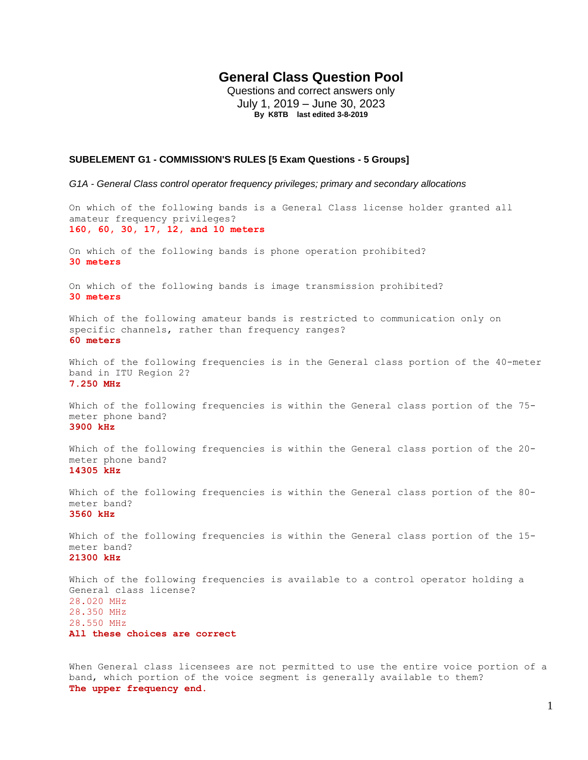# **General Class Question Pool**

Questions and correct answers only July 1, 2019 – June 30, 2023 **By K8TB last edited 3-8-2019**

## **SUBELEMENT G1 - COMMISSION'S RULES [5 Exam Questions - 5 Groups]**

*G1A - General Class control operator frequency privileges; primary and secondary allocations* 

On which of the following bands is a General Class license holder granted all amateur frequency privileges? **160, 60, 30, 17, 12, and 10 meters** On which of the following bands is phone operation prohibited? **30 meters** On which of the following bands is image transmission prohibited? **30 meters** Which of the following amateur bands is restricted to communication only on specific channels, rather than frequency ranges? **60 meters** Which of the following frequencies is in the General class portion of the 40-meter band in ITU Region 2? **7.250 MHz** Which of the following frequencies is within the General class portion of the 75 meter phone band? **3900 kHz** Which of the following frequencies is within the General class portion of the 20 meter phone band? **14305 kHz** Which of the following frequencies is within the General class portion of the 80 meter band? **3560 kHz** Which of the following frequencies is within the General class portion of the 15 meter band? **21300 kHz** Which of the following frequencies is available to a control operator holding a General class license? 28.020 MHz 28.350 MHz 28.550 MHz **All these choices are correct**

When General class licensees are not permitted to use the entire voice portion of a band, which portion of the voice segment is generally available to them? **The upper frequency end.**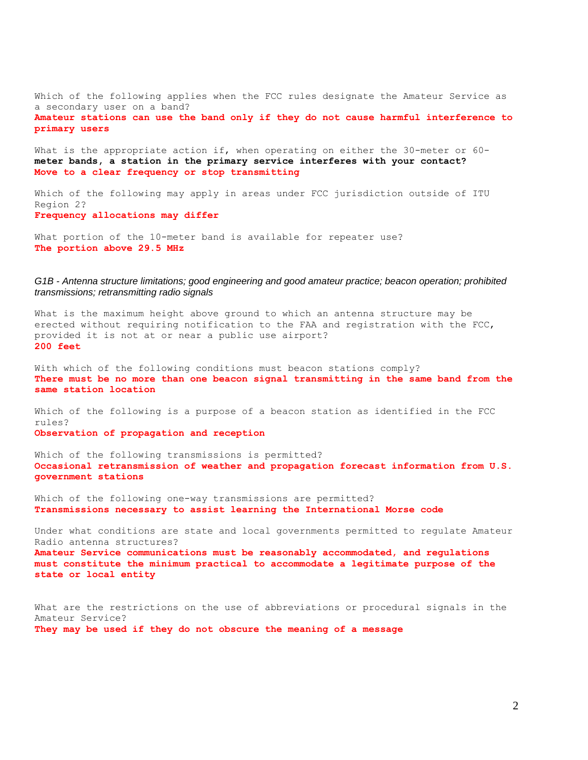Which of the following applies when the FCC rules designate the Amateur Service as a secondary user on a band? **Amateur stations can use the band only if they do not cause harmful interference to primary users**

What is the appropriate action if, when operating on either the 30-meter or 60**meter bands, a station in the primary service interferes with your contact? Move to a clear frequency or stop transmitting**

Which of the following may apply in areas under FCC jurisdiction outside of ITU Region 2? **Frequency allocations may differ**

What portion of the 10-meter band is available for repeater use? **The portion above 29.5 MHz**

## *G1B - Antenna structure limitations; good engineering and good amateur practice; beacon operation; prohibited transmissions; retransmitting radio signals*

What is the maximum height above ground to which an antenna structure may be erected without requiring notification to the FAA and registration with the FCC, provided it is not at or near a public use airport? **200 feet**

With which of the following conditions must beacon stations comply? **There must be no more than one beacon signal transmitting in the same band from the same station location**

Which of the following is a purpose of a beacon station as identified in the FCC rules? **Observation of propagation and reception**

Which of the following transmissions is permitted? **Occasional retransmission of weather and propagation forecast information from U.S. government stations**

Which of the following one-way transmissions are permitted? **Transmissions necessary to assist learning the International Morse code**

Under what conditions are state and local governments permitted to regulate Amateur Radio antenna structures? **Amateur Service communications must be reasonably accommodated, and regulations must constitute the minimum practical to accommodate a legitimate purpose of the state or local entity**

What are the restrictions on the use of abbreviations or procedural signals in the Amateur Service? **They may be used if they do not obscure the meaning of a message**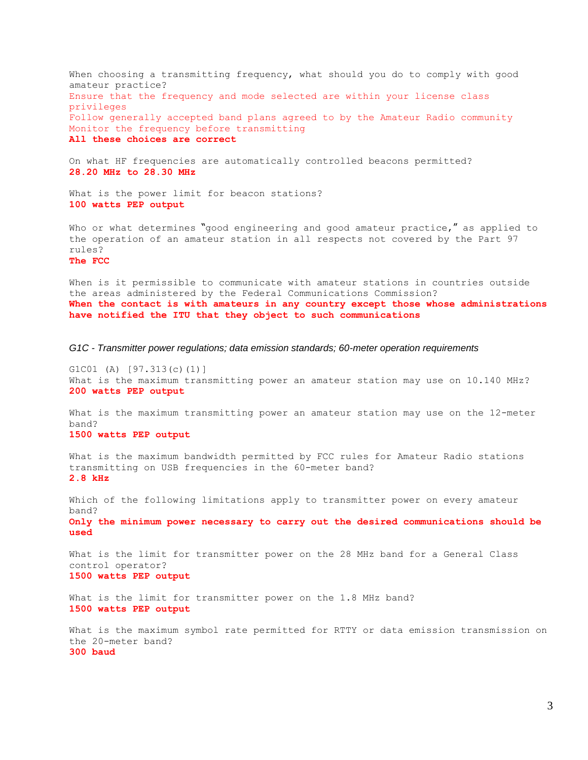When choosing a transmitting frequency, what should you do to comply with good amateur practice? Ensure that the frequency and mode selected are within your license class privileges Follow generally accepted band plans agreed to by the Amateur Radio community Monitor the frequency before transmitting **All these choices are correct**

On what HF frequencies are automatically controlled beacons permitted? **28.20 MHz to 28.30 MHz**

What is the power limit for beacon stations? **100 watts PEP output**

Who or what determines "good engineering and good amateur practice," as applied to the operation of an amateur station in all respects not covered by the Part 97 rules?

**The FCC**

When is it permissible to communicate with amateur stations in countries outside the areas administered by the Federal Communications Commission? **When the contact is with amateurs in any country except those whose administrations have notified the ITU that they object to such communications**

*G1C - Transmitter power regulations; data emission standards; 60-meter operation requirements*

G1C01 (A) [97.313(c)(1)] What is the maximum transmitting power an amateur station may use on 10.140 MHz? **200 watts PEP output**

What is the maximum transmitting power an amateur station may use on the 12-meter band? **1500 watts PEP output**

What is the maximum bandwidth permitted by FCC rules for Amateur Radio stations transmitting on USB frequencies in the 60-meter band? **2.8 kHz**

Which of the following limitations apply to transmitter power on every amateur band? **Only the minimum power necessary to carry out the desired communications should be used**

What is the limit for transmitter power on the 28 MHz band for a General Class control operator? **1500 watts PEP output**

What is the limit for transmitter power on the 1.8 MHz band? **1500 watts PEP output**

What is the maximum symbol rate permitted for RTTY or data emission transmission on the 20-meter band? **300 baud**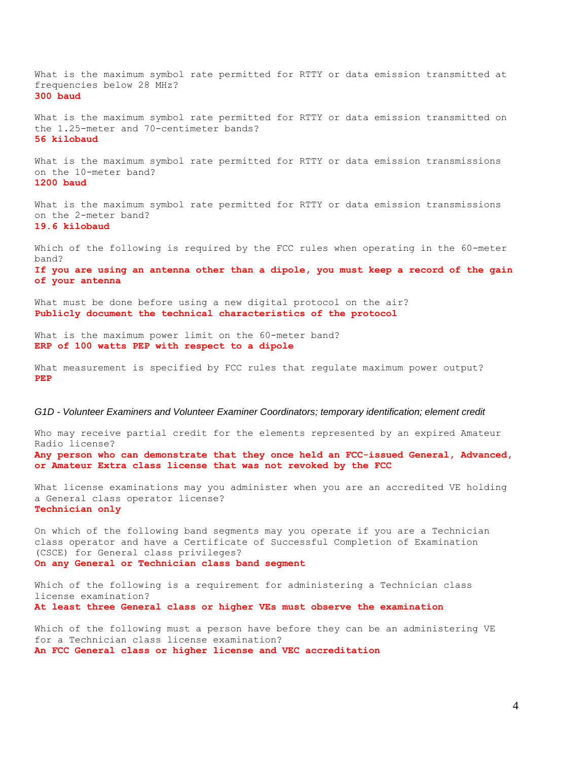What is the maximum symbol rate permitted for RTTY or data emission transmitted at frequencies below 28 MHz? **300 baud**

What is the maximum symbol rate permitted for RTTY or data emission transmitted on the 1.25-meter and 70-centimeter bands? **56 kilobaud**

What is the maximum symbol rate permitted for RTTY or data emission transmissions on the 10-meter band? **1200 baud**

What is the maximum symbol rate permitted for RTTY or data emission transmissions on the 2-meter band?

**19.6 kilobaud**

Which of the following is required by the FCC rules when operating in the 60-meter band? **If you are using an antenna other than a dipole, you must keep a record of the gain of your antenna**

What must be done before using a new digital protocol on the air? **Publicly document the technical characteristics of the protocol**

What is the maximum power limit on the 60-meter band? **ERP of 100 watts PEP with respect to a dipole**

What measurement is specified by FCC rules that regulate maximum power output? **PEP**

#### *G1D - Volunteer Examiners and Volunteer Examiner Coordinators; temporary identification; element credit*

Who may receive partial credit for the elements represented by an expired Amateur Radio license? **Any person who can demonstrate that they once held an FCC-issued General, Advanced, or Amateur Extra class license that was not revoked by the FCC**

What license examinations may you administer when you are an accredited VE holding a General class operator license? **Technician only**

On which of the following band segments may you operate if you are a Technician class operator and have a Certificate of Successful Completion of Examination (CSCE) for General class privileges? **On any General or Technician class band segment**

Which of the following is a requirement for administering a Technician class license examination? **At least three General class or higher VEs must observe the examination** 

Which of the following must a person have before they can be an administering VE for a Technician class license examination? **An FCC General class or higher license and VEC accreditation**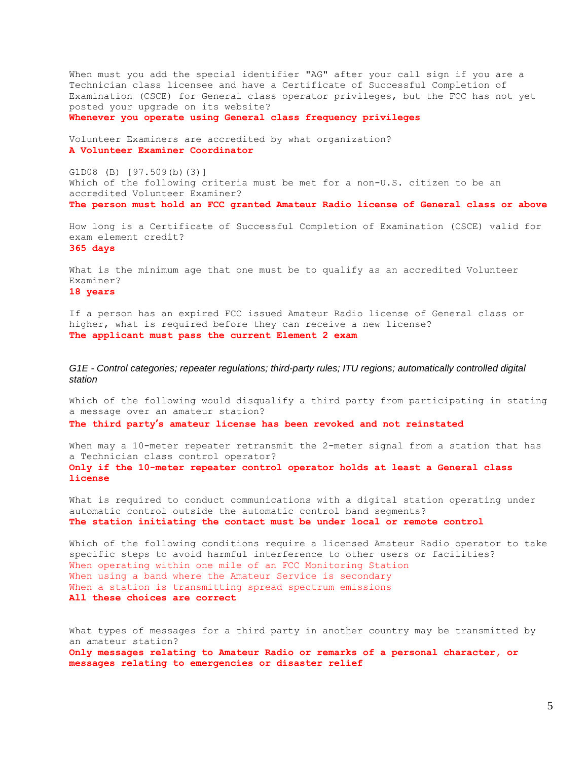When must you add the special identifier "AG" after your call sign if you are a Technician class licensee and have a Certificate of Successful Completion of Examination (CSCE) for General class operator privileges, but the FCC has not yet posted your upgrade on its website?

**Whenever you operate using General class frequency privileges**

Volunteer Examiners are accredited by what organization? **A Volunteer Examiner Coordinator**

G1D08 (B) [97.509(b)(3)] Which of the following criteria must be met for a non-U.S. citizen to be an accredited Volunteer Examiner? **The person must hold an FCC granted Amateur Radio license of General class or above**

How long is a Certificate of Successful Completion of Examination (CSCE) valid for exam element credit? **365 days**

What is the minimum age that one must be to qualify as an accredited Volunteer Examiner? **18 years**

If a person has an expired FCC issued Amateur Radio license of General class or higher, what is required before they can receive a new license? **The applicant must pass the current Element 2 exam**

*G1E - Control categories; repeater regulations; third-party rules; ITU regions; automatically controlled digital station*

Which of the following would disqualify a third party from participating in stating a message over an amateur station? **The third party's amateur license has been revoked and not reinstated**

When may a 10-meter repeater retransmit the 2-meter signal from a station that has a Technician class control operator? **Only if the 10-meter repeater control operator holds at least a General class license**

What is required to conduct communications with a digital station operating under automatic control outside the automatic control band segments? **The station initiating the contact must be under local or remote control**

Which of the following conditions require a licensed Amateur Radio operator to take specific steps to avoid harmful interference to other users or facilities? When operating within one mile of an FCC Monitoring Station When using a band where the Amateur Service is secondary When a station is transmitting spread spectrum emissions **All these choices are correct**

What types of messages for a third party in another country may be transmitted by an amateur station? **Only messages relating to Amateur Radio or remarks of a personal character, or messages relating to emergencies or disaster relief**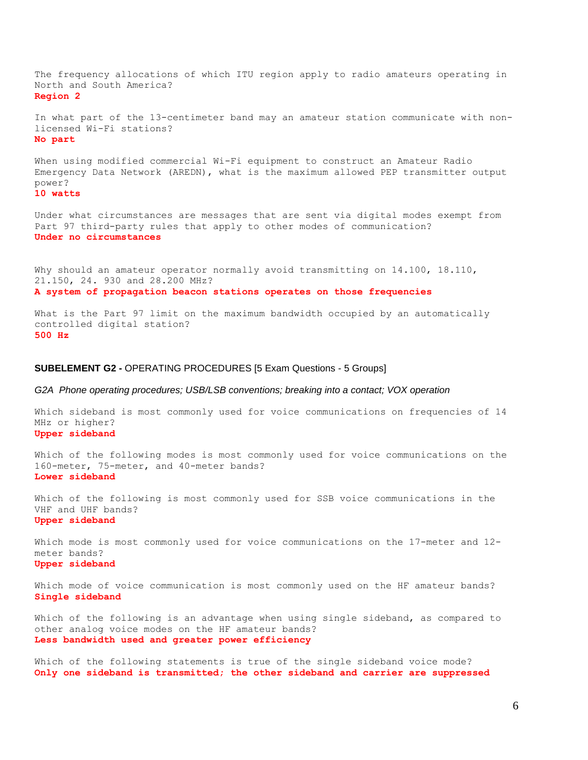The frequency allocations of which ITU region apply to radio amateurs operating in North and South America? **Region 2**

In what part of the 13-centimeter band may an amateur station communicate with nonlicensed Wi-Fi stations? **No part**

When using modified commercial Wi-Fi equipment to construct an Amateur Radio Emergency Data Network (AREDN), what is the maximum allowed PEP transmitter output power?

**10 watts**

Under what circumstances are messages that are sent via digital modes exempt from Part 97 third-party rules that apply to other modes of communication? **Under no circumstances**

Why should an amateur operator normally avoid transmitting on 14.100, 18.110, 21.150, 24. 930 and 28.200 MHz? **A system of propagation beacon stations operates on those frequencies**

What is the Part 97 limit on the maximum bandwidth occupied by an automatically controlled digital station? **500 Hz**

## **SUBELEMENT G2 -** OPERATING PROCEDURES [5 Exam Questions - 5 Groups]

## *G2A Phone operating procedures; USB/LSB conventions; breaking into a contact; VOX operation*

Which sideband is most commonly used for voice communications on frequencies of 14 MHz or higher? **Upper sideband**

Which of the following modes is most commonly used for voice communications on the 160-meter, 75-meter, and 40-meter bands? **Lower sideband**

Which of the following is most commonly used for SSB voice communications in the VHF and UHF bands? **Upper sideband**

Which mode is most commonly used for voice communications on the 17-meter and 12 meter bands? **Upper sideband**

Which mode of voice communication is most commonly used on the HF amateur bands? **Single sideband**

Which of the following is an advantage when using single sideband, as compared to other analog voice modes on the HF amateur bands? **Less bandwidth used and greater power efficiency**

Which of the following statements is true of the single sideband voice mode? **Only one sideband is transmitted; the other sideband and carrier are suppressed**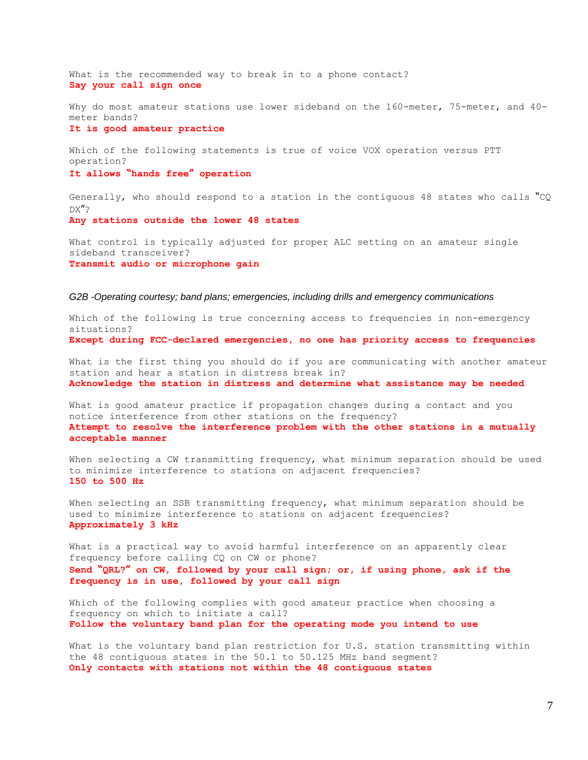What is the recommended way to break in to a phone contact? **Say your call sign once**

Why do most amateur stations use lower sideband on the 160-meter, 75-meter, and 40meter bands?

**It is good amateur practice**

Which of the following statements is true of voice VOX operation versus PTT operation? **It allows "hands free" operation**

Generally, who should respond to a station in the contiguous 48 states who calls "CQ DX"? **Any stations outside the lower 48 states**

What control is typically adjusted for proper ALC setting on an amateur single sideband transceiver? **Transmit audio or microphone gain**

## *G2B -Operating courtesy; band plans; emergencies, including drills and emergency communications*

Which of the following is true concerning access to frequencies in non-emergency situations? **Except during FCC-declared emergencies, no one has priority access to frequencies**

What is the first thing you should do if you are communicating with another amateur station and hear a station in distress break in? **Acknowledge the station in distress and determine what assistance may be needed**

What is good amateur practice if propagation changes during a contact and you notice interference from other stations on the frequency? **Attempt to resolve the interference problem with the other stations in a mutually acceptable manner**

When selecting a CW transmitting frequency, what minimum separation should be used to minimize interference to stations on adjacent frequencies? **150 to 500 Hz**

When selecting an SSB transmitting frequency, what minimum separation should be used to minimize interference to stations on adjacent frequencies? **Approximately 3 kHz**

What is a practical way to avoid harmful interference on an apparently clear frequency before calling CQ on CW or phone? **Send "QRL?" on CW, followed by your call sign; or, if using phone, ask if the frequency is in use, followed by your call sign**

Which of the following complies with good amateur practice when choosing a frequency on which to initiate a call? **Follow the voluntary band plan for the operating mode you intend to use**

What is the voluntary band plan restriction for U.S. station transmitting within the 48 contiguous states in the 50.1 to 50.125 MHz band segment? **Only contacts with stations not within the 48 contiguous states**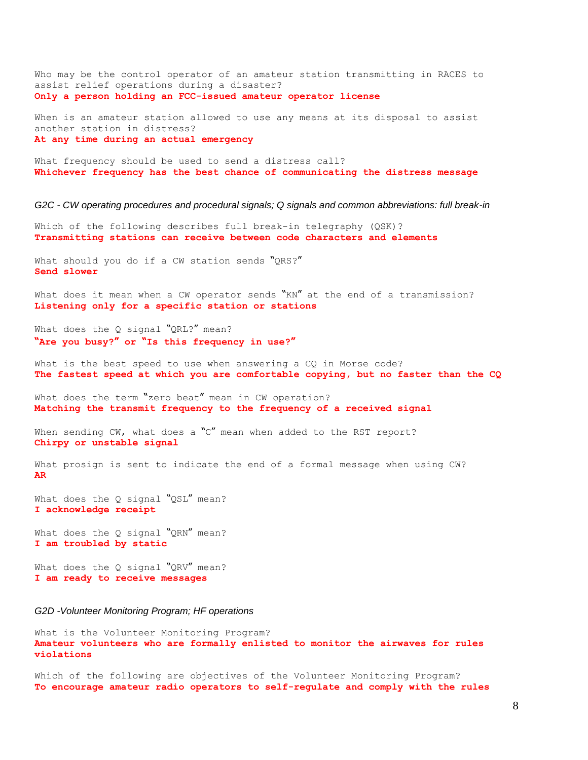Who may be the control operator of an amateur station transmitting in RACES to assist relief operations during a disaster? **Only a person holding an FCC-issued amateur operator license**

When is an amateur station allowed to use any means at its disposal to assist another station in distress? **At any time during an actual emergency**

What frequency should be used to send a distress call? **Whichever frequency has the best chance of communicating the distress message**

*G2C - CW operating procedures and procedural signals; Q signals and common abbreviations: full break-in*

Which of the following describes full break-in telegraphy (QSK)? **Transmitting stations can receive between code characters and elements**

What should you do if a CW station sends "ORS?" **Send slower**

What does it mean when a CW operator sends "KN" at the end of a transmission? **Listening only for a specific station or stations**

What does the Q signal "QRL?" mean? **"Are you busy?" or "Is this frequency in use?"**

What is the best speed to use when answering a CQ in Morse code? **The fastest speed at which you are comfortable copying, but no faster than the CQ**

What does the term "zero beat" mean in CW operation? **Matching the transmit frequency to the frequency of a received signal**

When sending CW, what does a "C" mean when added to the RST report? **Chirpy or unstable signal**

What prosign is sent to indicate the end of a formal message when using CW? **AR**

What does the Q signal "QSL" mean? **I acknowledge receipt**

What does the Q signal "QRN" mean? **I am troubled by static**

What does the Q signal "QRV" mean? **I am ready to receive messages**

*G2D -Volunteer Monitoring Program; HF operations*

What is the Volunteer Monitoring Program? **Amateur volunteers who are formally enlisted to monitor the airwaves for rules violations**

Which of the following are objectives of the Volunteer Monitoring Program? **To encourage amateur radio operators to self-regulate and comply with the rules**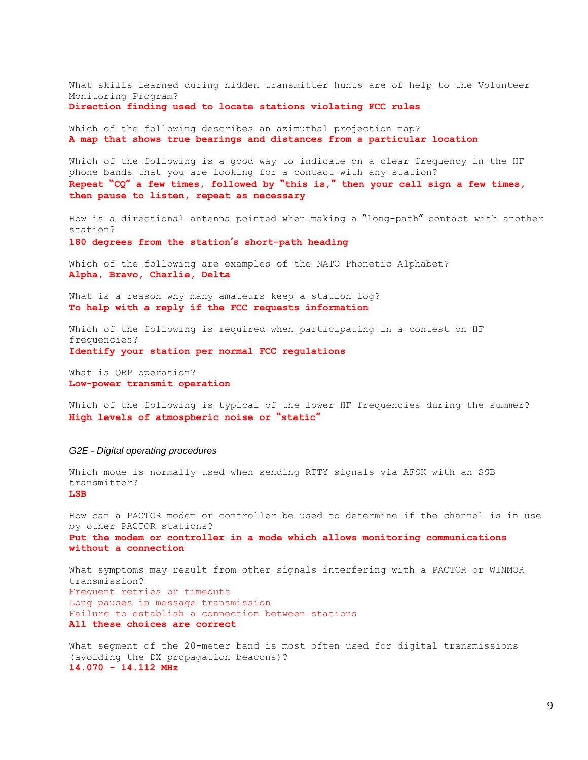What skills learned during hidden transmitter hunts are of help to the Volunteer Monitoring Program?

**Direction finding used to locate stations violating FCC rules**

Which of the following describes an azimuthal projection map? **A map that shows true bearings and distances from a particular location**

Which of the following is a good way to indicate on a clear frequency in the HF phone bands that you are looking for a contact with any station? **Repeat "CQ" a few times, followed by "this is," then your call sign a few times, then pause to listen, repeat as necessary**

How is a directional antenna pointed when making a "long-path" contact with another station?

**180 degrees from the station's short-path heading**

Which of the following are examples of the NATO Phonetic Alphabet? **Alpha, Bravo, Charlie, Delta**

What is a reason why many amateurs keep a station log? **To help with a reply if the FCC requests information**

Which of the following is required when participating in a contest on HF frequencies? **Identify your station per normal FCC regulations**

What is QRP operation? **Low-power transmit operation**

Which of the following is typical of the lower HF frequencies during the summer? **High levels of atmospheric noise or "static"**

#### *G2E - Digital operating procedures*

Which mode is normally used when sending RTTY signals via AFSK with an SSB transmitter? **LSB**

How can a PACTOR modem or controller be used to determine if the channel is in use by other PACTOR stations? **Put the modem or controller in a mode which allows monitoring communications without a connection**

What symptoms may result from other signals interfering with a PACTOR or WINMOR transmission? Frequent retries or timeouts Long pauses in message transmission Failure to establish a connection between stations **All these choices are correct**

What segment of the 20-meter band is most often used for digital transmissions (avoiding the DX propagation beacons)? **14.070 - 14.112 MHz**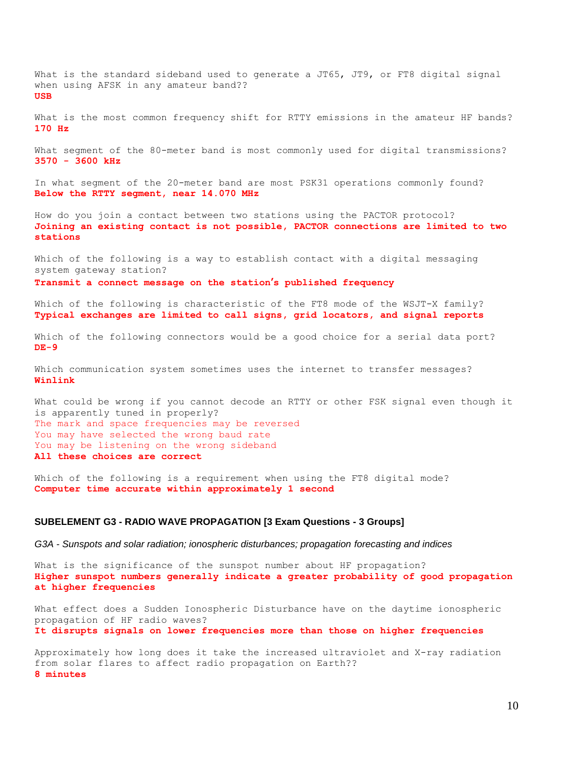What is the standard sideband used to generate a JT65, JT9, or FT8 digital signal when using AFSK in any amateur band?? **USB**

What is the most common frequency shift for RTTY emissions in the amateur HF bands? **170 Hz**

What segment of the 80-meter band is most commonly used for digital transmissions? **3570 - 3600 kHz**

In what segment of the 20-meter band are most PSK31 operations commonly found? **Below the RTTY segment, near 14.070 MHz**

How do you join a contact between two stations using the PACTOR protocol? **Joining an existing contact is not possible, PACTOR connections are limited to two stations**

Which of the following is a way to establish contact with a digital messaging system gateway station? **Transmit a connect message on the station's published frequency**

Which of the following is characteristic of the FT8 mode of the WSJT-X family? **Typical exchanges are limited to call signs, grid locators, and signal reports**

Which of the following connectors would be a good choice for a serial data port? **DE-9**

Which communication system sometimes uses the internet to transfer messages? **Winlink**

What could be wrong if you cannot decode an RTTY or other FSK signal even though it is apparently tuned in properly? The mark and space frequencies may be reversed You may have selected the wrong baud rate You may be listening on the wrong sideband **All these choices are correct**

Which of the following is a requirement when using the FT8 digital mode? **Computer time accurate within approximately 1 second**

## **SUBELEMENT G3 - RADIO WAVE PROPAGATION [3 Exam Questions - 3 Groups]**

*G3A - Sunspots and solar radiation; ionospheric disturbances; propagation forecasting and indices*

What is the significance of the sunspot number about HF propagation? **Higher sunspot numbers generally indicate a greater probability of good propagation at higher frequencies**

What effect does a Sudden Ionospheric Disturbance have on the daytime ionospheric propagation of HF radio waves? **It disrupts signals on lower frequencies more than those on higher frequencies**

Approximately how long does it take the increased ultraviolet and X-ray radiation from solar flares to affect radio propagation on Earth?? **8 minutes**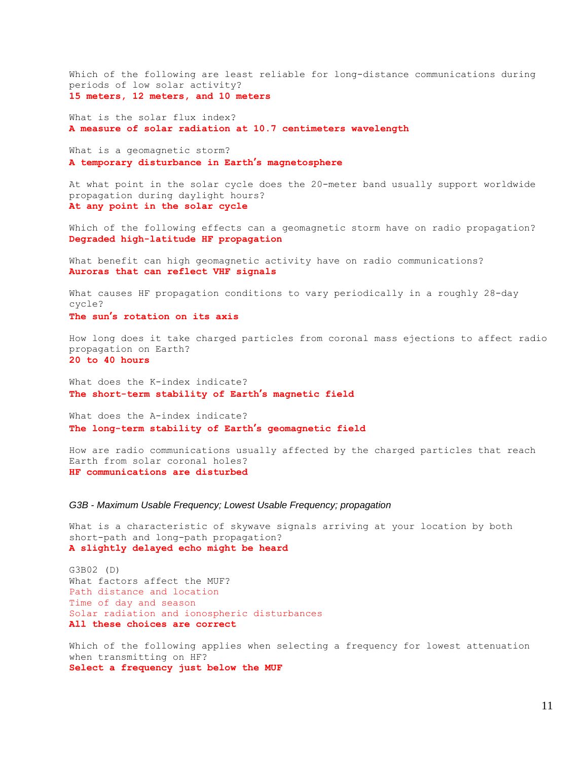Which of the following are least reliable for long-distance communications during periods of low solar activity? **15 meters, 12 meters, and 10 meters**

What is the solar flux index? **A measure of solar radiation at 10.7 centimeters wavelength**

What is a geomagnetic storm? **A temporary disturbance in Earth's magnetosphere**

At what point in the solar cycle does the 20-meter band usually support worldwide propagation during daylight hours? **At any point in the solar cycle**

Which of the following effects can a geomagnetic storm have on radio propagation? **Degraded high-latitude HF propagation**

What benefit can high geomagnetic activity have on radio communications? **Auroras that can reflect VHF signals**

What causes HF propagation conditions to vary periodically in a roughly 28-day cycle? **The sun's rotation on its axis**

How long does it take charged particles from coronal mass ejections to affect radio propagation on Earth? **20 to 40 hours**

What does the K-index indicate? **The short-term stability of Earth's magnetic field**

What does the A-index indicate? **The long-term stability of Earth's geomagnetic field**

How are radio communications usually affected by the charged particles that reach Earth from solar coronal holes? **HF communications are disturbed**

*G3B - Maximum Usable Frequency; Lowest Usable Frequency; propagation*

What is a characteristic of skywave signals arriving at your location by both short-path and long-path propagation? **A slightly delayed echo might be heard**

G3B02 (D) What factors affect the MUF? Path distance and location Time of day and season Solar radiation and ionospheric disturbances **All these choices are correct**

Which of the following applies when selecting a frequency for lowest attenuation when transmitting on HF? **Select a frequency just below the MUF**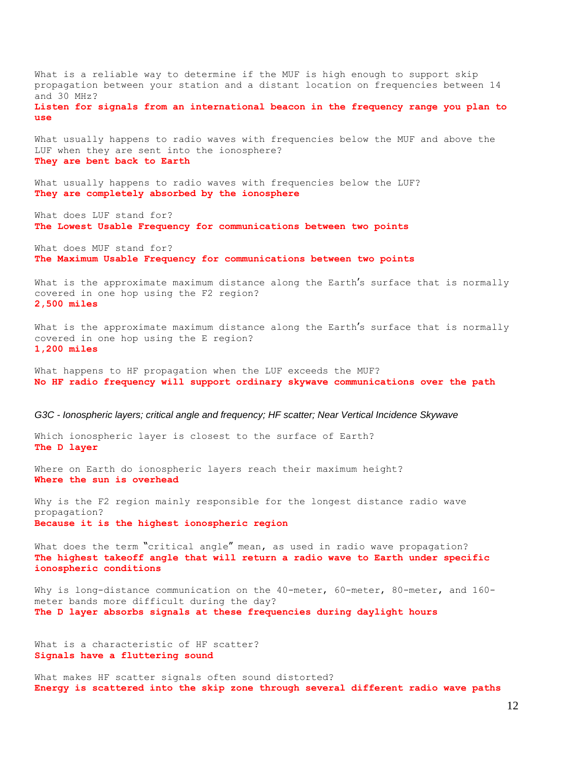What is a reliable way to determine if the MUF is high enough to support skip propagation between your station and a distant location on frequencies between 14 and 30 MHz? **Listen for signals from an international beacon in the frequency range you plan to use** What usually happens to radio waves with frequencies below the MUF and above the LUF when they are sent into the ionosphere? **They are bent back to Earth**

What usually happens to radio waves with frequencies below the LUF? **They are completely absorbed by the ionosphere**

What does LUF stand for? **The Lowest Usable Frequency for communications between two points**

What does MUF stand for? **The Maximum Usable Frequency for communications between two points**

What is the approximate maximum distance along the Earth's surface that is normally covered in one hop using the F2 region? **2,500 miles**

What is the approximate maximum distance along the Earth's surface that is normally covered in one hop using the E region? **1,200 miles**

What happens to HF propagation when the LUF exceeds the MUF? **No HF radio frequency will support ordinary skywave communications over the path**

*G3C - Ionospheric layers; critical angle and frequency; HF scatter; Near Vertical Incidence Skywave*

Which ionospheric layer is closest to the surface of Earth? **The D layer**

Where on Earth do ionospheric layers reach their maximum height? **Where the sun is overhead**

Why is the F2 region mainly responsible for the longest distance radio wave propagation? **Because it is the highest ionospheric region**

What does the term "critical angle" mean, as used in radio wave propagation? **The highest takeoff angle that will return a radio wave to Earth under specific ionospheric conditions**

Why is long-distance communication on the 40-meter, 60-meter, 80-meter, and 160 meter bands more difficult during the day? **The D layer absorbs signals at these frequencies during daylight hours**

What is a characteristic of HF scatter? **Signals have a fluttering sound**

What makes HF scatter signals often sound distorted? **Energy is scattered into the skip zone through several different radio wave paths**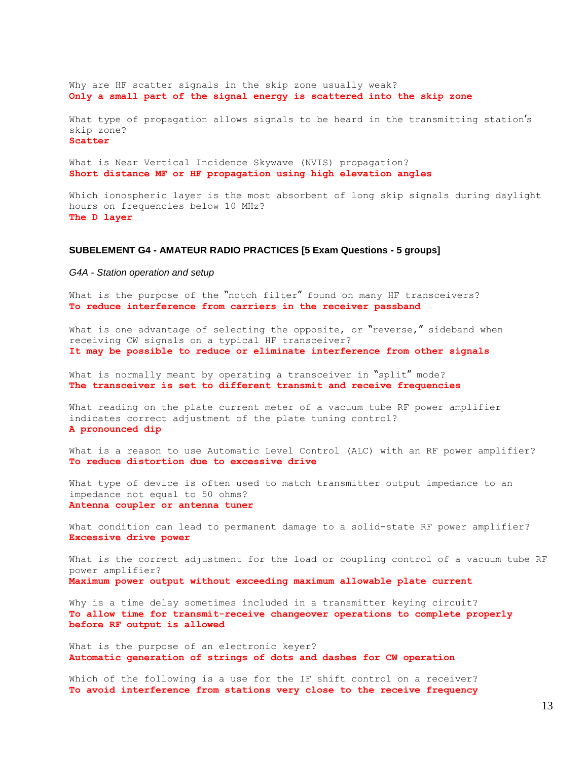Why are HF scatter signals in the skip zone usually weak? **Only a small part of the signal energy is scattered into the skip zone** What type of propagation allows signals to be heard in the transmitting station's skip zone? **Scatter** What is Near Vertical Incidence Skywave (NVIS) propagation? **Short distance MF or HF propagation using high elevation angles**

Which ionospheric layer is the most absorbent of long skip signals during daylight hours on frequencies below 10 MHz? **The D layer**

## **SUBELEMENT G4 - AMATEUR RADIO PRACTICES [5 Exam Questions - 5 groups]**

*G4A - Station operation and setup*

What is the purpose of the "notch filter" found on many HF transceivers? **To reduce interference from carriers in the receiver passband**

What is one advantage of selecting the opposite, or "reverse," sideband when receiving CW signals on a typical HF transceiver? **It may be possible to reduce or eliminate interference from other signals**

What is normally meant by operating a transceiver in "split" mode? **The transceiver is set to different transmit and receive frequencies**

What reading on the plate current meter of a vacuum tube RF power amplifier indicates correct adjustment of the plate tuning control? **A pronounced dip**

What is a reason to use Automatic Level Control (ALC) with an RF power amplifier? **To reduce distortion due to excessive drive**

What type of device is often used to match transmitter output impedance to an impedance not equal to 50 ohms? **Antenna coupler or antenna tuner**

What condition can lead to permanent damage to a solid-state RF power amplifier? **Excessive drive power**

What is the correct adjustment for the load or coupling control of a vacuum tube RF power amplifier? **Maximum power output without exceeding maximum allowable plate current**

Why is a time delay sometimes included in a transmitter keying circuit? **To allow time for transmit-receive changeover operations to complete properly before RF output is allowed**

What is the purpose of an electronic keyer? **Automatic generation of strings of dots and dashes for CW operation**

Which of the following is a use for the IF shift control on a receiver? **To avoid interference from stations very close to the receive frequency**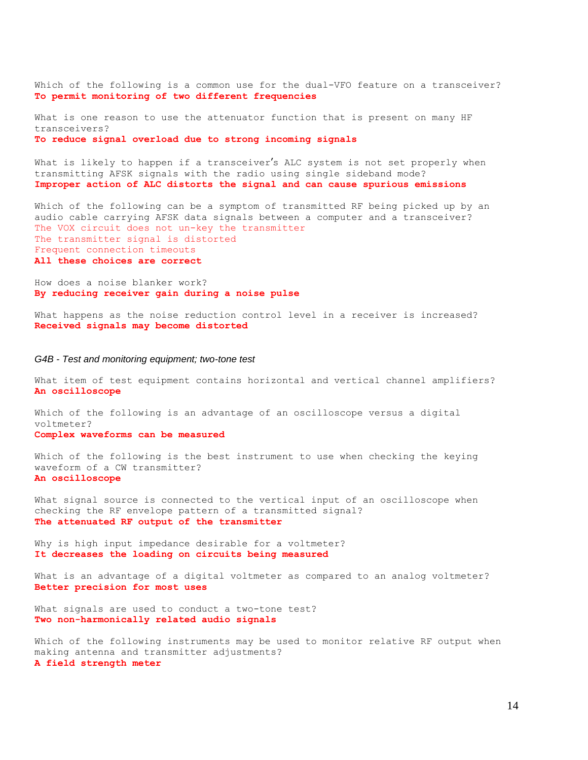Which of the following is a common use for the dual-VFO feature on a transceiver? **To permit monitoring of two different frequencies**

What is one reason to use the attenuator function that is present on many HF transceivers? **To reduce signal overload due to strong incoming signals**

What is likely to happen if a transceiver's ALC system is not set properly when transmitting AFSK signals with the radio using single sideband mode? **Improper action of ALC distorts the signal and can cause spurious emissions**

Which of the following can be a symptom of transmitted RF being picked up by an audio cable carrying AFSK data signals between a computer and a transceiver? The VOX circuit does not un-key the transmitter The transmitter signal is distorted Frequent connection timeouts **All these choices are correct**

How does a noise blanker work? **By reducing receiver gain during a noise pulse**

What happens as the noise reduction control level in a receiver is increased? **Received signals may become distorted**

#### *G4B - Test and monitoring equipment; two-tone test*

What item of test equipment contains horizontal and vertical channel amplifiers? **An oscilloscope**

Which of the following is an advantage of an oscilloscope versus a digital voltmeter? **Complex waveforms can be measured**

Which of the following is the best instrument to use when checking the keying waveform of a CW transmitter? **An oscilloscope**

What signal source is connected to the vertical input of an oscilloscope when checking the RF envelope pattern of a transmitted signal? **The attenuated RF output of the transmitter**

Why is high input impedance desirable for a voltmeter? **It decreases the loading on circuits being measured**

What is an advantage of a digital voltmeter as compared to an analog voltmeter? **Better precision for most uses**

What signals are used to conduct a two-tone test? **Two non-harmonically related audio signals**

Which of the following instruments may be used to monitor relative RF output when making antenna and transmitter adjustments? **A field strength meter**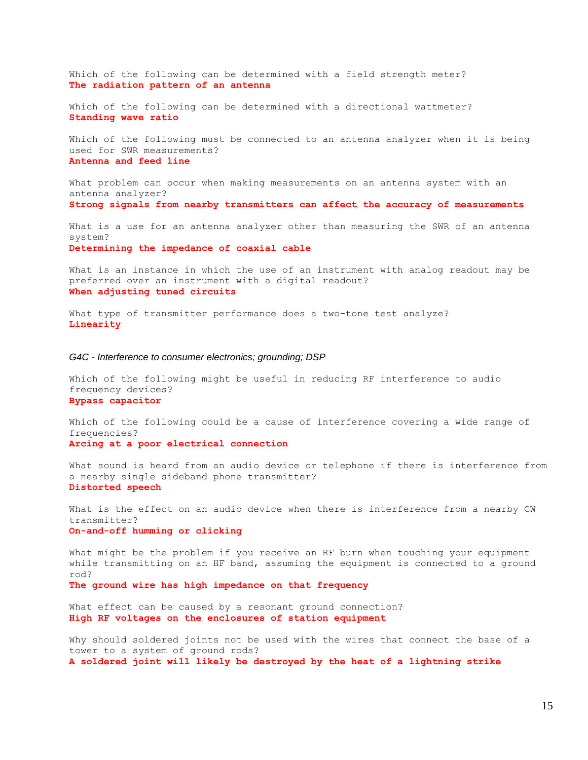Which of the following can be determined with a field strength meter? **The radiation pattern of an antenna**

Which of the following can be determined with a directional wattmeter? **Standing wave ratio**

Which of the following must be connected to an antenna analyzer when it is being used for SWR measurements? **Antenna and feed line**

What problem can occur when making measurements on an antenna system with an antenna analyzer? **Strong signals from nearby transmitters can affect the accuracy of measurements**

What is a use for an antenna analyzer other than measuring the SWR of an antenna system?

**Determining the impedance of coaxial cable**

What is an instance in which the use of an instrument with analog readout may be preferred over an instrument with a digital readout? **When adjusting tuned circuits**

What type of transmitter performance does a two-tone test analyze? **Linearity**

#### *G4C - Interference to consumer electronics; grounding; DSP*

Which of the following might be useful in reducing RF interference to audio frequency devices? **Bypass capacitor**

Which of the following could be a cause of interference covering a wide range of frequencies? **Arcing at a poor electrical connection**

What sound is heard from an audio device or telephone if there is interference from a nearby single sideband phone transmitter? **Distorted speech**

What is the effect on an audio device when there is interference from a nearby CW transmitter? **On-and-off humming or clicking**

What might be the problem if you receive an RF burn when touching your equipment while transmitting on an HF band, assuming the equipment is connected to a ground rod? **The ground wire has high impedance on that frequency**

What effect can be caused by a resonant ground connection? **High RF voltages on the enclosures of station equipment**

Why should soldered joints not be used with the wires that connect the base of a tower to a system of ground rods? **A soldered joint will likely be destroyed by the heat of a lightning strike**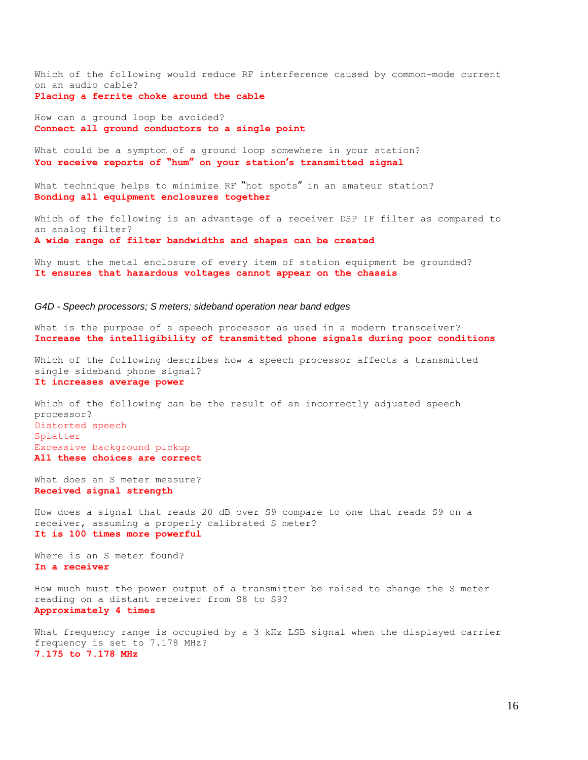Which of the following would reduce RF interference caused by common-mode current on an audio cable?

**Placing a ferrite choke around the cable**

How can a ground loop be avoided? **Connect all ground conductors to a single point**

What could be a symptom of a ground loop somewhere in your station? **You receive reports of "hum" on your station's transmitted signal**

What technique helps to minimize RF "hot spots" in an amateur station? **Bonding all equipment enclosures together**

Which of the following is an advantage of a receiver DSP IF filter as compared to an analog filter? **A wide range of filter bandwidths and shapes can be created**

Why must the metal enclosure of every item of station equipment be grounded? **It ensures that hazardous voltages cannot appear on the chassis**

#### *G4D - Speech processors; S meters; sideband operation near band edges*

What is the purpose of a speech processor as used in a modern transceiver? **Increase the intelligibility of transmitted phone signals during poor conditions**

Which of the following describes how a speech processor affects a transmitted single sideband phone signal? **It increases average power**

Which of the following can be the result of an incorrectly adjusted speech processor? Distorted speech Splatter Excessive background pickup **All these choices are correct**

What does an S meter measure? **Received signal strength**

How does a signal that reads 20 dB over S9 compare to one that reads S9 on a receiver, assuming a properly calibrated S meter? **It is 100 times more powerful**

Where is an S meter found? **In a receiver**

How much must the power output of a transmitter be raised to change the S meter reading on a distant receiver from S8 to S9? **Approximately 4 times**

What frequency range is occupied by a 3 kHz LSB signal when the displayed carrier frequency is set to 7.178 MHz? **7.175 to 7.178 MHz**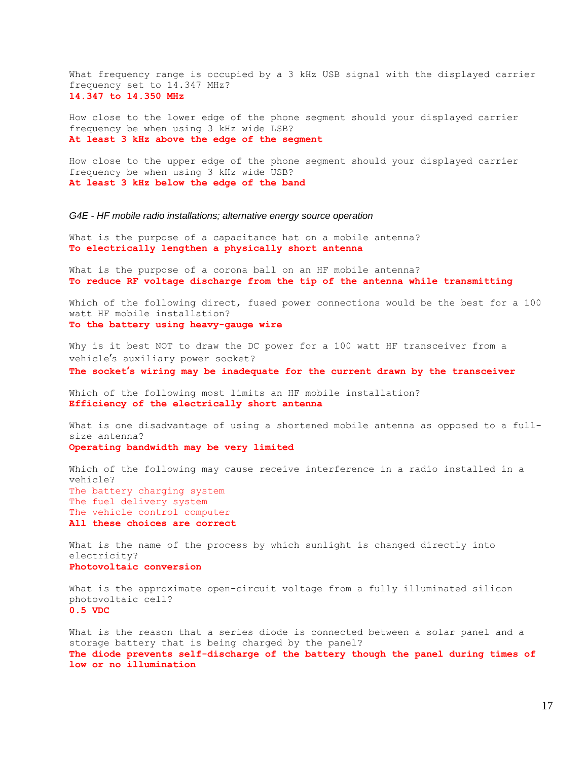What frequency range is occupied by a 3 kHz USB signal with the displayed carrier frequency set to 14.347 MHz? **14.347 to 14.350 MHz**

How close to the lower edge of the phone segment should your displayed carrier frequency be when using 3 kHz wide LSB? **At least 3 kHz above the edge of the segment**

How close to the upper edge of the phone segment should your displayed carrier frequency be when using 3 kHz wide USB? **At least 3 kHz below the edge of the band**

*G4E - HF mobile radio installations; alternative energy source operation*

What is the purpose of a capacitance hat on a mobile antenna? **To electrically lengthen a physically short antenna**

What is the purpose of a corona ball on an HF mobile antenna? **To reduce RF voltage discharge from the tip of the antenna while transmitting**

Which of the following direct, fused power connections would be the best for a 100 watt HF mobile installation? **To the battery using heavy-gauge wire**

Why is it best NOT to draw the DC power for a 100 watt HF transceiver from a vehicle's auxiliary power socket? **The socket's wiring may be inadequate for the current drawn by the transceiver**

Which of the following most limits an HF mobile installation? **Efficiency of the electrically short antenna**

What is one disadvantage of using a shortened mobile antenna as opposed to a fullsize antenna? **Operating bandwidth may be very limited**

Which of the following may cause receive interference in a radio installed in a vehicle? The battery charging system The fuel delivery system The vehicle control computer **All these choices are correct**

What is the name of the process by which sunlight is changed directly into electricity? **Photovoltaic conversion**

What is the approximate open-circuit voltage from a fully illuminated silicon photovoltaic cell? **0.5 VDC**

What is the reason that a series diode is connected between a solar panel and a storage battery that is being charged by the panel? **The diode prevents self-discharge of the battery though the panel during times of low or no illumination**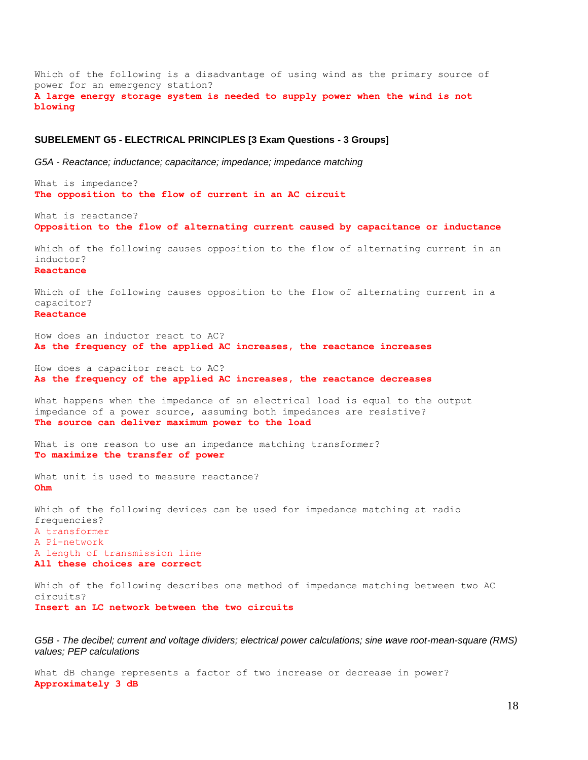Which of the following is a disadvantage of using wind as the primary source of power for an emergency station? **A large energy storage system is needed to supply power when the wind is not blowing**

## **SUBELEMENT G5 - ELECTRICAL PRINCIPLES [3 Exam Questions - 3 Groups]**

*G5A - Reactance; inductance; capacitance; impedance; impedance matching*

What is impedance? **The opposition to the flow of current in an AC circuit**

What is reactance? **Opposition to the flow of alternating current caused by capacitance or inductance**

Which of the following causes opposition to the flow of alternating current in an inductor? **Reactance**

Which of the following causes opposition to the flow of alternating current in a capacitor? **Reactance**

How does an inductor react to AC? **As the frequency of the applied AC increases, the reactance increases**

How does a capacitor react to AC? **As the frequency of the applied AC increases, the reactance decreases**

What happens when the impedance of an electrical load is equal to the output impedance of a power source, assuming both impedances are resistive? **The source can deliver maximum power to the load**

What is one reason to use an impedance matching transformer? **To maximize the transfer of power**

What unit is used to measure reactance? **Ohm**

Which of the following devices can be used for impedance matching at radio frequencies? A transformer A Pi-network A length of transmission line **All these choices are correct**

Which of the following describes one method of impedance matching between two AC circuits? **Insert an LC network between the two circuits**

*G5B - The decibel; current and voltage dividers; electrical power calculations; sine wave root-mean-square (RMS) values; PEP calculations*

What dB change represents a factor of two increase or decrease in power? **Approximately 3 dB**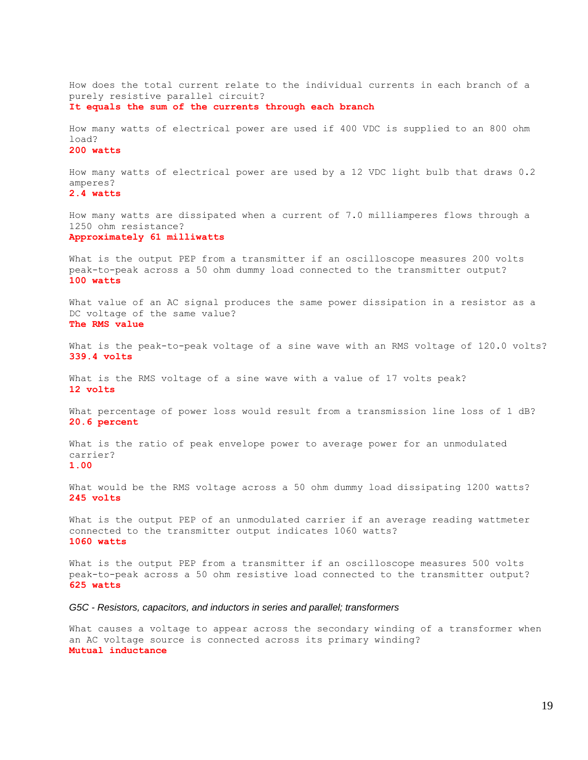How does the total current relate to the individual currents in each branch of a purely resistive parallel circuit? **It equals the sum of the currents through each branch**

How many watts of electrical power are used if 400 VDC is supplied to an 800 ohm load?

## **200 watts**

How many watts of electrical power are used by a 12 VDC light bulb that draws 0.2 amperes?

**2.4 watts**

How many watts are dissipated when a current of 7.0 milliamperes flows through a 1250 ohm resistance? **Approximately 61 milliwatts**

What is the output PEP from a transmitter if an oscilloscope measures 200 volts peak-to-peak across a 50 ohm dummy load connected to the transmitter output? **100 watts**

What value of an AC signal produces the same power dissipation in a resistor as a DC voltage of the same value? **The RMS value**

What is the peak-to-peak voltage of a sine wave with an RMS voltage of 120.0 volts? **339.4 volts**

What is the RMS voltage of a sine wave with a value of 17 volts peak? **12 volts**

What percentage of power loss would result from a transmission line loss of 1 dB? **20.6 percent**

What is the ratio of peak envelope power to average power for an unmodulated carrier? **1.00**

What would be the RMS voltage across a 50 ohm dummy load dissipating 1200 watts? **245 volts**

What is the output PEP of an unmodulated carrier if an average reading wattmeter connected to the transmitter output indicates 1060 watts? **1060 watts**

What is the output PEP from a transmitter if an oscilloscope measures 500 volts peak-to-peak across a 50 ohm resistive load connected to the transmitter output? **625 watts**

*G5C - Resistors, capacitors, and inductors in series and parallel; transformers*

What causes a voltage to appear across the secondary winding of a transformer when an AC voltage source is connected across its primary winding? **Mutual inductance**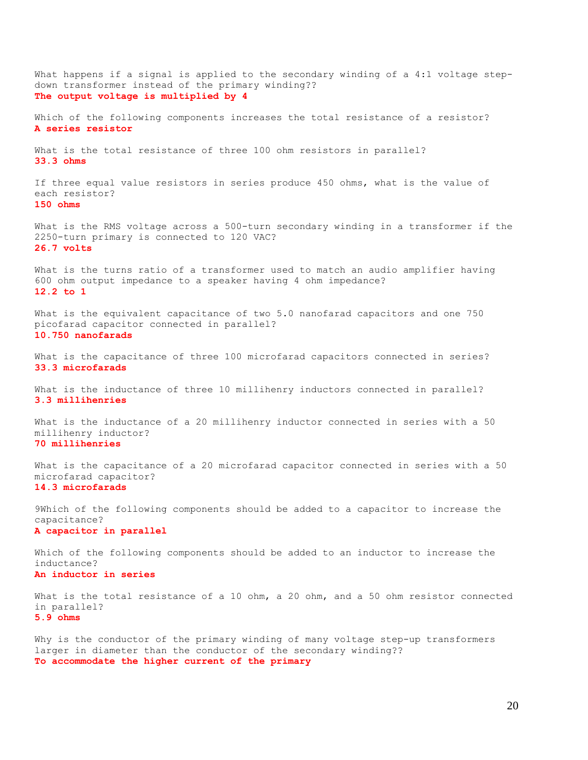What happens if a signal is applied to the secondary winding of a 4:1 voltage stepdown transformer instead of the primary winding?? **The output voltage is multiplied by 4** Which of the following components increases the total resistance of a resistor? **A series resistor** What is the total resistance of three 100 ohm resistors in parallel? **33.3 ohms** If three equal value resistors in series produce 450 ohms, what is the value of each resistor? **150 ohms** What is the RMS voltage across a 500-turn secondary winding in a transformer if the 2250-turn primary is connected to 120 VAC? **26.7 volts** What is the turns ratio of a transformer used to match an audio amplifier having 600 ohm output impedance to a speaker having 4 ohm impedance? **12.2 to 1** What is the equivalent capacitance of two 5.0 nanofarad capacitors and one 750 picofarad capacitor connected in parallel? **10.750 nanofarads** What is the capacitance of three 100 microfarad capacitors connected in series? **33.3 microfarads** What is the inductance of three 10 millihenry inductors connected in parallel? **3.3 millihenries** What is the inductance of a 20 millihenry inductor connected in series with a 50 millihenry inductor? **70 millihenries** What is the capacitance of a 20 microfarad capacitor connected in series with a 50 microfarad capacitor? **14.3 microfarads** 9Which of the following components should be added to a capacitor to increase the capacitance? **A capacitor in parallel** Which of the following components should be added to an inductor to increase the inductance? **An inductor in series** What is the total resistance of a 10 ohm, a 20 ohm, and a 50 ohm resistor connected in parallel? **5.9 ohms** Why is the conductor of the primary winding of many voltage step-up transformers larger in diameter than the conductor of the secondary winding??

**To accommodate the higher current of the primary**

20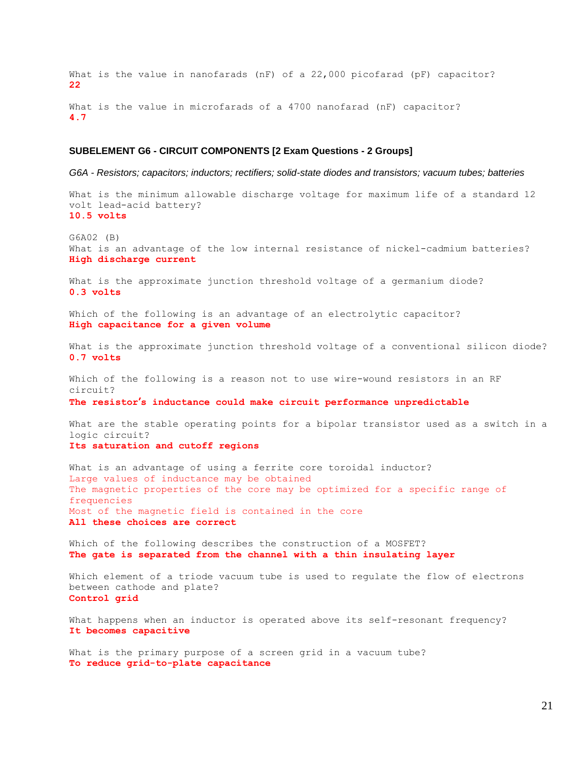What is the value in nanofarads (nF) of a 22,000 picofarad (pF) capacitor? **22** What is the value in microfarads of a 4700 nanofarad (nF) capacitor?

**4.7**

## **SUBELEMENT G6 - CIRCUIT COMPONENTS [2 Exam Questions - 2 Groups]**

*G6A - Resistors; capacitors; inductors; rectifiers; solid-state diodes and transistors; vacuum tubes; batteries*

What is the minimum allowable discharge voltage for maximum life of a standard 12 volt lead-acid battery? **10.5 volts**

G6A02 (B) What is an advantage of the low internal resistance of nickel-cadmium batteries? **High discharge current**

What is the approximate junction threshold voltage of a germanium diode? **0.3 volts**

Which of the following is an advantage of an electrolytic capacitor? **High capacitance for a given volume**

What is the approximate junction threshold voltage of a conventional silicon diode? **0.7 volts**

Which of the following is a reason not to use wire-wound resistors in an RF circuit?

**The resistor's inductance could make circuit performance unpredictable**

What are the stable operating points for a bipolar transistor used as a switch in a logic circuit? **Its saturation and cutoff regions**

What is an advantage of using a ferrite core toroidal inductor? Large values of inductance may be obtained The magnetic properties of the core may be optimized for a specific range of frequencies Most of the magnetic field is contained in the core **All these choices are correct**

Which of the following describes the construction of a MOSFET? **The gate is separated from the channel with a thin insulating layer**

Which element of a triode vacuum tube is used to regulate the flow of electrons between cathode and plate? **Control grid**

What happens when an inductor is operated above its self-resonant frequency? **It becomes capacitive**

What is the primary purpose of a screen grid in a vacuum tube? **To reduce grid-to-plate capacitance**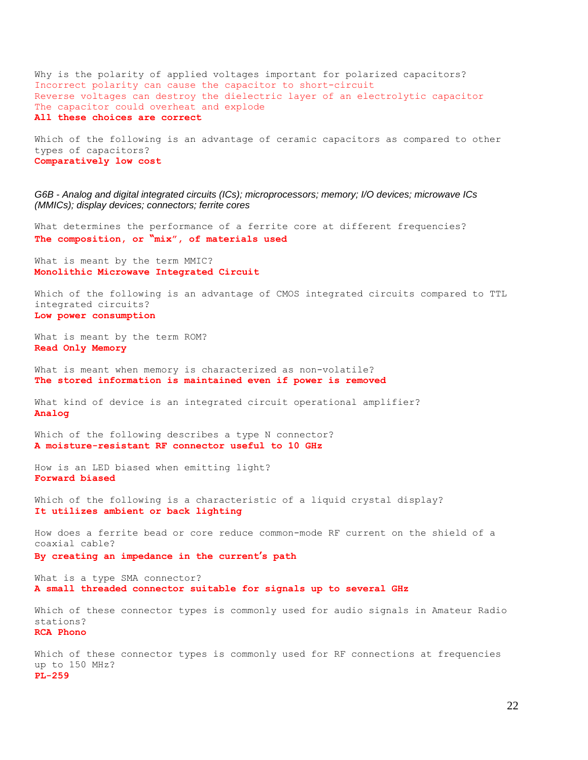Why is the polarity of applied voltages important for polarized capacitors? Incorrect polarity can cause the capacitor to short-circuit Reverse voltages can destroy the dielectric layer of an electrolytic capacitor The capacitor could overheat and explode **All these choices are correct**

Which of the following is an advantage of ceramic capacitors as compared to other types of capacitors? **Comparatively low cost**

*G6B - Analog and digital integrated circuits (ICs); microprocessors; memory; I/O devices; microwave ICs (MMICs); display devices; connectors; ferrite cores*

What determines the performance of a ferrite core at different frequencies? **The composition, or "mix", of materials used**

What is meant by the term MMIC? **Monolithic Microwave Integrated Circuit**

Which of the following is an advantage of CMOS integrated circuits compared to TTL integrated circuits? **Low power consumption**

What is meant by the term ROM? **Read Only Memory**

What is meant when memory is characterized as non-volatile? **The stored information is maintained even if power is removed**

What kind of device is an integrated circuit operational amplifier? **Analog**

Which of the following describes a type N connector? **A moisture-resistant RF connector useful to 10 GHz**

How is an LED biased when emitting light? **Forward biased**

Which of the following is a characteristic of a liquid crystal display? **It utilizes ambient or back lighting**

How does a ferrite bead or core reduce common-mode RF current on the shield of a coaxial cable?

**By creating an impedance in the current's path**

What is a type SMA connector? **A small threaded connector suitable for signals up to several GHz**

Which of these connector types is commonly used for audio signals in Amateur Radio stations? **RCA Phono**

Which of these connector types is commonly used for RF connections at frequencies up to 150 MHz? **PL-259**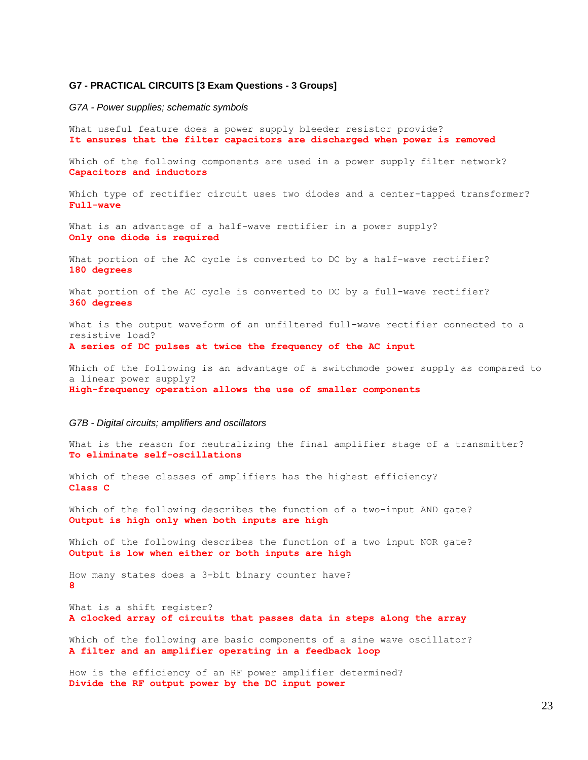## **G7 - PRACTICAL CIRCUITS [3 Exam Questions - 3 Groups]**

*G7A - Power supplies; schematic symbols*

What useful feature does a power supply bleeder resistor provide? **It ensures that the filter capacitors are discharged when power is removed**

Which of the following components are used in a power supply filter network? **Capacitors and inductors**

Which type of rectifier circuit uses two diodes and a center-tapped transformer? **Full-wave**

What is an advantage of a half-wave rectifier in a power supply? **Only one diode is required**

What portion of the AC cycle is converted to DC by a half-wave rectifier? **180 degrees**

What portion of the AC cycle is converted to DC by a full-wave rectifier? **360 degrees**

What is the output waveform of an unfiltered full-wave rectifier connected to a resistive load? **A series of DC pulses at twice the frequency of the AC input**

Which of the following is an advantage of a switchmode power supply as compared to a linear power supply? **High-frequency operation allows the use of smaller components**

#### *G7B - Digital circuits; amplifiers and oscillators*

What is the reason for neutralizing the final amplifier stage of a transmitter? **To eliminate self-oscillations**

Which of these classes of amplifiers has the highest efficiency? **Class C**

Which of the following describes the function of a two-input AND gate? **Output is high only when both inputs are high**

Which of the following describes the function of a two input NOR gate? **Output is low when either or both inputs are high**

How many states does a 3-bit binary counter have? **8**

What is a shift register? **A clocked array of circuits that passes data in steps along the array**

Which of the following are basic components of a sine wave oscillator? **A filter and an amplifier operating in a feedback loop**

How is the efficiency of an RF power amplifier determined? **Divide the RF output power by the DC input power**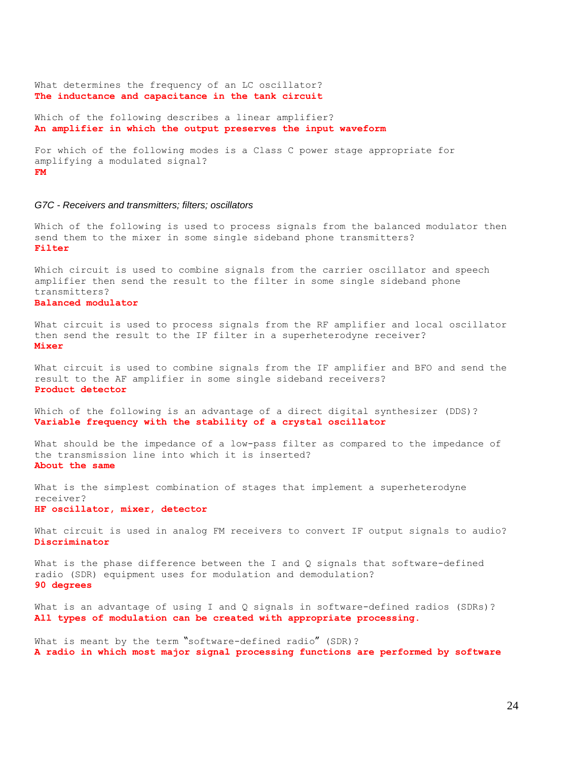What determines the frequency of an LC oscillator? **The inductance and capacitance in the tank circuit**

Which of the following describes a linear amplifier? **An amplifier in which the output preserves the input waveform**

For which of the following modes is a Class C power stage appropriate for amplifying a modulated signal? **FM**

### *G7C - Receivers and transmitters; filters; oscillators*

Which of the following is used to process signals from the balanced modulator then send them to the mixer in some single sideband phone transmitters? **Filter**

Which circuit is used to combine signals from the carrier oscillator and speech amplifier then send the result to the filter in some single sideband phone transmitters?

**Balanced modulator**

What circuit is used to process signals from the RF amplifier and local oscillator then send the result to the IF filter in a superheterodyne receiver? **Mixer**

What circuit is used to combine signals from the IF amplifier and BFO and send the result to the AF amplifier in some single sideband receivers? **Product detector**

Which of the following is an advantage of a direct digital synthesizer (DDS)? **Variable frequency with the stability of a crystal oscillator**

What should be the impedance of a low-pass filter as compared to the impedance of the transmission line into which it is inserted? **About the same**

What is the simplest combination of stages that implement a superheterodyne receiver? **HF oscillator, mixer, detector**

What circuit is used in analog FM receivers to convert IF output signals to audio? **Discriminator**

What is the phase difference between the I and Q signals that software-defined radio (SDR) equipment uses for modulation and demodulation? **90 degrees**

What is an advantage of using I and Q signals in software-defined radios (SDRs)? **All types of modulation can be created with appropriate processing.**

What is meant by the term "software-defined radio" (SDR)? **A radio in which most major signal processing functions are performed by software**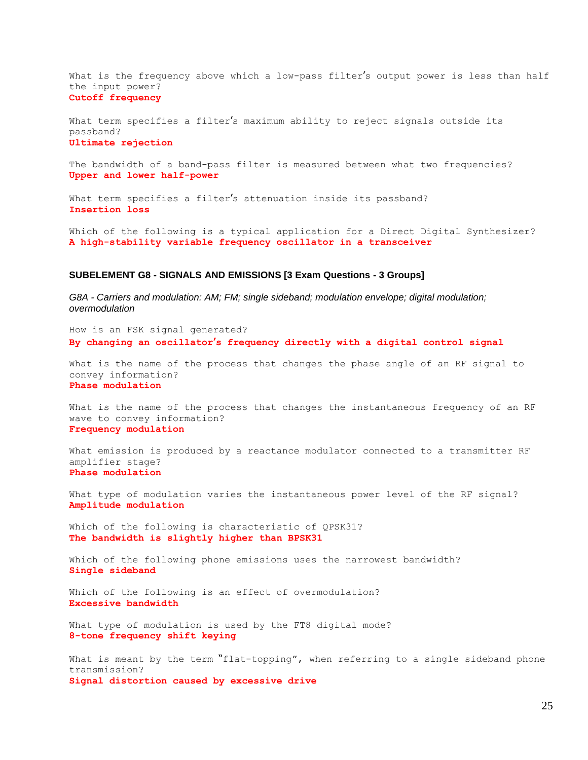What is the frequency above which a low-pass filter's output power is less than half the input power?

## **Cutoff frequency**

What term specifies a filter's maximum ability to reject signals outside its passband? **Ultimate rejection**

The bandwidth of a band-pass filter is measured between what two frequencies? **Upper and lower half-power**

What term specifies a filter's attenuation inside its passband? **Insertion loss**

Which of the following is a typical application for a Direct Digital Synthesizer? **A high-stability variable frequency oscillator in a transceiver**

## **SUBELEMENT G8 - SIGNALS AND EMISSIONS [3 Exam Questions - 3 Groups]**

*G8A - Carriers and modulation: AM; FM; single sideband; modulation envelope; digital modulation; overmodulation*

How is an FSK signal generated? **By changing an oscillator's frequency directly with a digital control signal**

What is the name of the process that changes the phase angle of an RF signal to convey information? **Phase modulation**

What is the name of the process that changes the instantaneous frequency of an RF wave to convey information? **Frequency modulation**

What emission is produced by a reactance modulator connected to a transmitter RF amplifier stage? **Phase modulation**

What type of modulation varies the instantaneous power level of the RF signal? **Amplitude modulation**

Which of the following is characteristic of QPSK31? **The bandwidth is slightly higher than BPSK31**

Which of the following phone emissions uses the narrowest bandwidth? **Single sideband**

Which of the following is an effect of overmodulation? **Excessive bandwidth**

What type of modulation is used by the FT8 digital mode? **8-tone frequency shift keying**

What is meant by the term "flat-topping", when referring to a single sideband phone transmission? **Signal distortion caused by excessive drive**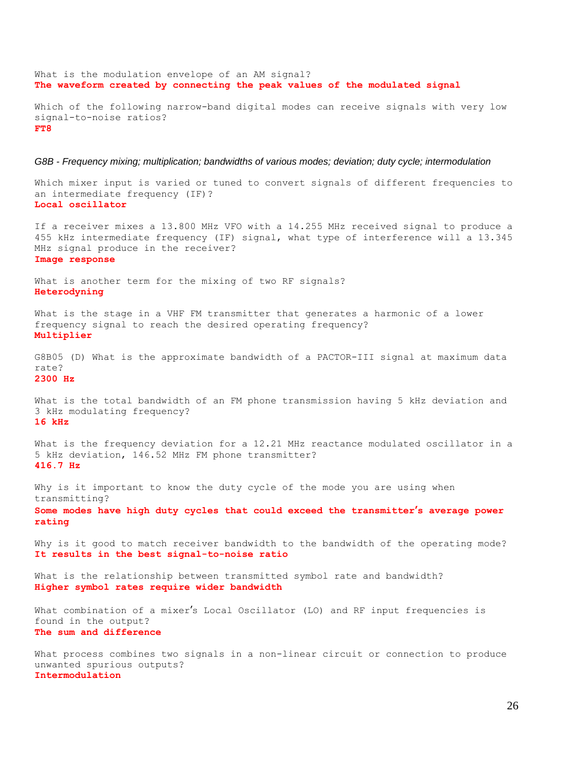What is the modulation envelope of an AM signal? **The waveform created by connecting the peak values of the modulated signal** Which of the following narrow-band digital modes can receive signals with very low signal-to-noise ratios? **FT8**

#### *G8B - Frequency mixing; multiplication; bandwidths of various modes; deviation; duty cycle; intermodulation*

Which mixer input is varied or tuned to convert signals of different frequencies to an intermediate frequency (IF)? **Local oscillator**

If a receiver mixes a 13.800 MHz VFO with a 14.255 MHz received signal to produce a 455 kHz intermediate frequency (IF) signal, what type of interference will a 13.345 MHz signal produce in the receiver? **Image response**

What is another term for the mixing of two RF signals? **Heterodyning**

What is the stage in a VHF FM transmitter that generates a harmonic of a lower frequency signal to reach the desired operating frequency? **Multiplier**

G8B05 (D) What is the approximate bandwidth of a PACTOR-III signal at maximum data rate? **2300 Hz**

What is the total bandwidth of an FM phone transmission having 5 kHz deviation and 3 kHz modulating frequency? **16 kHz**

What is the frequency deviation for a 12.21 MHz reactance modulated oscillator in a 5 kHz deviation, 146.52 MHz FM phone transmitter? **416.7 Hz**

Why is it important to know the duty cycle of the mode you are using when transmitting?

**Some modes have high duty cycles that could exceed the transmitter's average power rating**

Why is it good to match receiver bandwidth to the bandwidth of the operating mode? **It results in the best signal-to-noise ratio**

What is the relationship between transmitted symbol rate and bandwidth? **Higher symbol rates require wider bandwidth**

What combination of a mixer's Local Oscillator (LO) and RF input frequencies is found in the output? **The sum and difference**

What process combines two signals in a non-linear circuit or connection to produce unwanted spurious outputs? **Intermodulation**

#### 26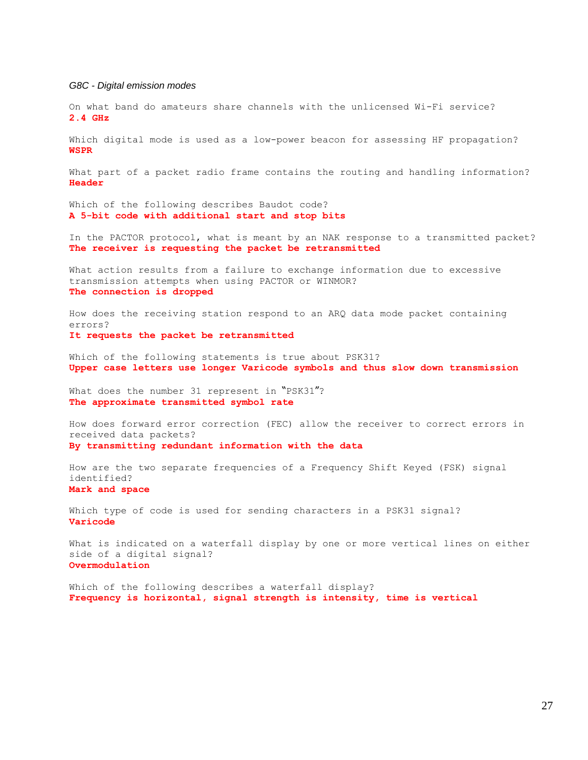## *G8C - Digital emission modes*

On what band do amateurs share channels with the unlicensed Wi-Fi service? **2.4 GHz**

Which digital mode is used as a low-power beacon for assessing HF propagation? **WSPR**

What part of a packet radio frame contains the routing and handling information? **Header**

Which of the following describes Baudot code? **A 5-bit code with additional start and stop bits**

In the PACTOR protocol, what is meant by an NAK response to a transmitted packet? **The receiver is requesting the packet be retransmitted**

What action results from a failure to exchange information due to excessive transmission attempts when using PACTOR or WINMOR? **The connection is dropped**

How does the receiving station respond to an ARQ data mode packet containing errors? **It requests the packet be retransmitted**

Which of the following statements is true about PSK31? **Upper case letters use longer Varicode symbols and thus slow down transmission**

What does the number 31 represent in "PSK31"? **The approximate transmitted symbol rate**

How does forward error correction (FEC) allow the receiver to correct errors in received data packets? **By transmitting redundant information with the data**

How are the two separate frequencies of a Frequency Shift Keyed (FSK) signal identified?

## **Mark and space**

Which type of code is used for sending characters in a PSK31 signal? **Varicode**

What is indicated on a waterfall display by one or more vertical lines on either side of a digital signal? **Overmodulation**

Which of the following describes a waterfall display? **Frequency is horizontal, signal strength is intensity, time is vertical**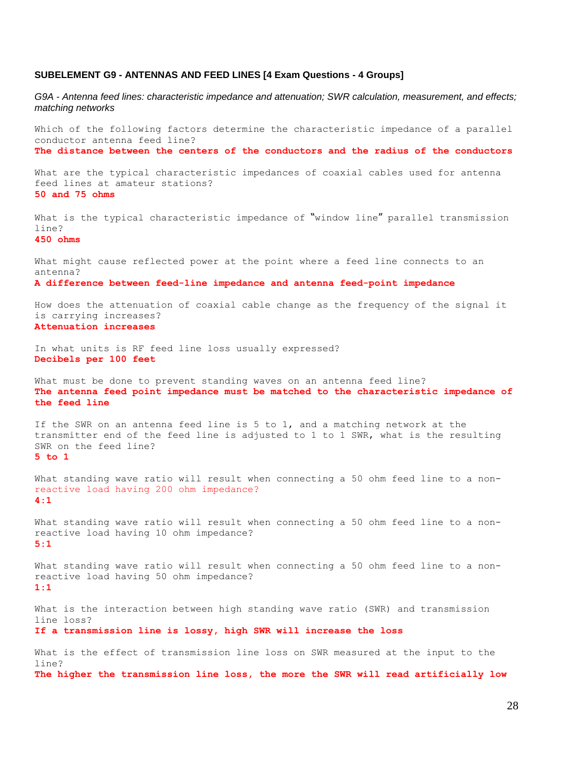## **SUBELEMENT G9 - ANTENNAS AND FEED LINES [4 Exam Questions - 4 Groups]**

*G9A - Antenna feed lines: characteristic impedance and attenuation; SWR calculation, measurement, and effects; matching networks*

Which of the following factors determine the characteristic impedance of a parallel conductor antenna feed line? **The distance between the centers of the conductors and the radius of the conductors**

What are the typical characteristic impedances of coaxial cables used for antenna feed lines at amateur stations? **50 and 75 ohms**

What is the typical characteristic impedance of "window line" parallel transmission line?

**450 ohms**

What might cause reflected power at the point where a feed line connects to an antenna?

**A difference between feed-line impedance and antenna feed-point impedance**

How does the attenuation of coaxial cable change as the frequency of the signal it is carrying increases? **Attenuation increases**

In what units is RF feed line loss usually expressed? **Decibels per 100 feet**

What must be done to prevent standing waves on an antenna feed line? **The antenna feed point impedance must be matched to the characteristic impedance of the feed line**

If the SWR on an antenna feed line is 5 to 1, and a matching network at the transmitter end of the feed line is adjusted to 1 to 1 SWR, what is the resulting SWR on the feed line? **5 to 1**

What standing wave ratio will result when connecting a 50 ohm feed line to a nonreactive load having 200 ohm impedance? **4:1**

What standing wave ratio will result when connecting a 50 ohm feed line to a nonreactive load having 10 ohm impedance? **5:1**

What standing wave ratio will result when connecting a 50 ohm feed line to a nonreactive load having 50 ohm impedance? **1:1**

What is the interaction between high standing wave ratio (SWR) and transmission line loss?

**If a transmission line is lossy, high SWR will increase the loss**

What is the effect of transmission line loss on SWR measured at the input to the line? **The higher the transmission line loss, the more the SWR will read artificially low**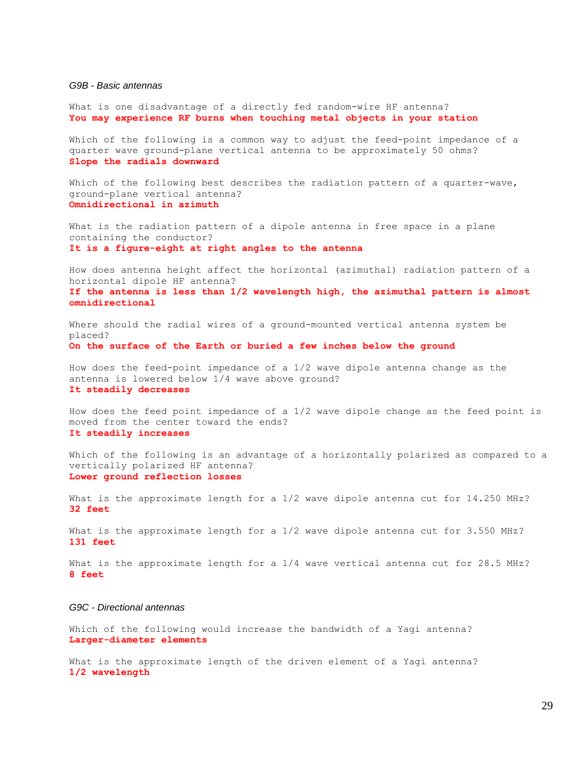#### *G9B - Basic antennas*

What is one disadvantage of a directly fed random-wire HF antenna? **You may experience RF burns when touching metal objects in your station**

Which of the following is a common way to adjust the feed-point impedance of a quarter wave ground-plane vertical antenna to be approximately 50 ohms? **Slope the radials downward**

Which of the following best describes the radiation pattern of a quarter-wave, ground-plane vertical antenna? **Omnidirectional in azimuth**

What is the radiation pattern of a dipole antenna in free space in a plane containing the conductor? **It is a figure-eight at right angles to the antenna**

How does antenna height affect the horizontal (azimuthal) radiation pattern of a horizontal dipole HF antenna? **If the antenna is less than 1/2 wavelength high, the azimuthal pattern is almost** 

**omnidirectional**

Where should the radial wires of a ground-mounted vertical antenna system be placed? **On the surface of the Earth or buried a few inches below the ground**

How does the feed-point impedance of a 1/2 wave dipole antenna change as the antenna is lowered below 1/4 wave above ground? **It steadily decreases**

How does the feed point impedance of a 1/2 wave dipole change as the feed point is moved from the center toward the ends? **It steadily increases**

Which of the following is an advantage of a horizontally polarized as compared to a vertically polarized HF antenna? **Lower ground reflection losses**

What is the approximate length for a  $1/2$  wave dipole antenna cut for 14.250 MHz? **32 feet**

What is the approximate length for a 1/2 wave dipole antenna cut for 3.550 MHz? **131 feet**

What is the approximate length for a  $1/4$  wave vertical antenna cut for 28.5 MHz? **8 feet**

## *G9C - Directional antennas*

Which of the following would increase the bandwidth of a Yagi antenna? **Larger-diameter elements**

What is the approximate length of the driven element of a Yagi antenna? **1/2 wavelength**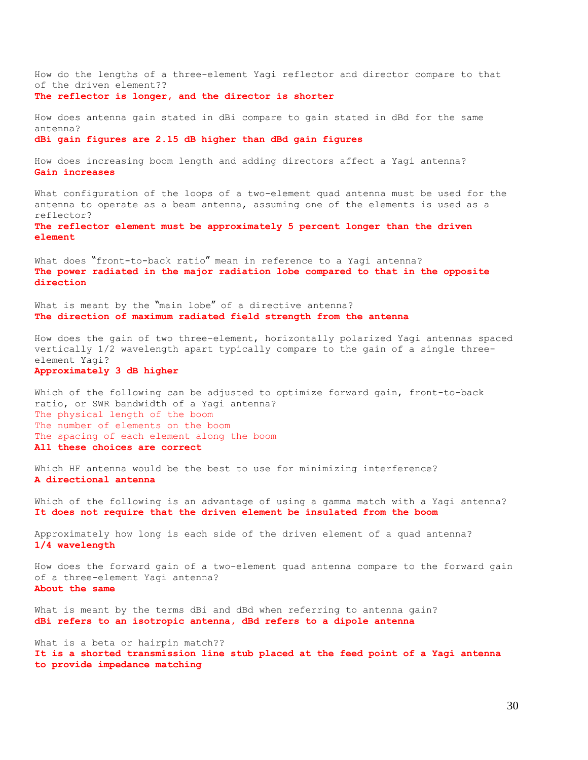How do the lengths of a three-element Yagi reflector and director compare to that of the driven element?? **The reflector is longer, and the director is shorter**

How does antenna gain stated in dBi compare to gain stated in dBd for the same antenna? **dBi gain figures are 2.15 dB higher than dBd gain figures**

How does increasing boom length and adding directors affect a Yagi antenna? **Gain increases**

What configuration of the loops of a two-element quad antenna must be used for the antenna to operate as a beam antenna, assuming one of the elements is used as a reflector? **The reflector element must be approximately 5 percent longer than the driven** 

What does "front-to-back ratio" mean in reference to a Yagi antenna? **The power radiated in the major radiation lobe compared to that in the opposite** 

What is meant by the "main lobe" of a directive antenna?

**The direction of maximum radiated field strength from the antenna**

How does the gain of two three-element, horizontally polarized Yagi antennas spaced vertically 1/2 wavelength apart typically compare to the gain of a single threeelement Yagi?

**Approximately 3 dB higher**

**element**

**direction**

Which of the following can be adjusted to optimize forward gain, front-to-back ratio, or SWR bandwidth of a Yagi antenna? The physical length of the boom The number of elements on the boom The spacing of each element along the boom **All these choices are correct**

Which HF antenna would be the best to use for minimizing interference? **A directional antenna**

Which of the following is an advantage of using a gamma match with a Yagi antenna? **It does not require that the driven element be insulated from the boom**

Approximately how long is each side of the driven element of a quad antenna? **1/4 wavelength**

How does the forward gain of a two-element quad antenna compare to the forward gain of a three-element Yagi antenna? **About the same**

What is meant by the terms dBi and dBd when referring to antenna gain? **dBi refers to an isotropic antenna, dBd refers to a dipole antenna**

What is a beta or hairpin match?? **It is a shorted transmission line stub placed at the feed point of a Yagi antenna to provide impedance matching**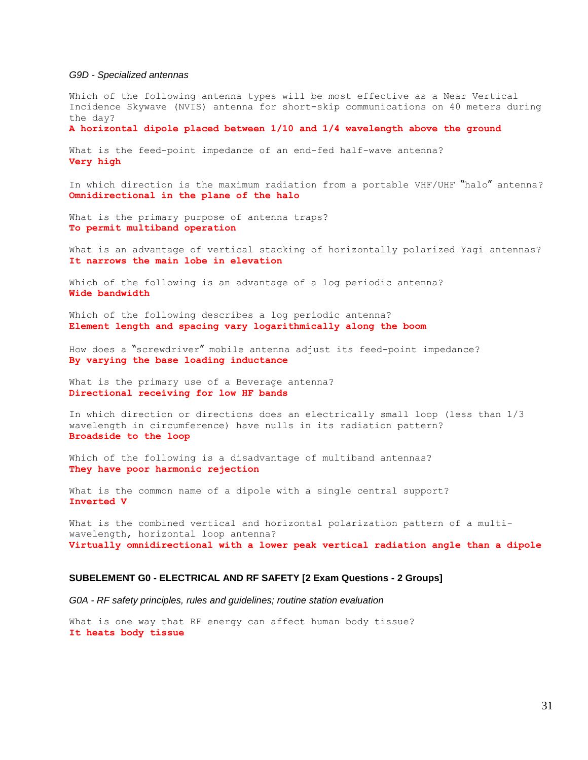#### *G9D - Specialized antennas*

Which of the following antenna types will be most effective as a Near Vertical Incidence Skywave (NVIS) antenna for short-skip communications on 40 meters during the day?

**A horizontal dipole placed between 1/10 and 1/4 wavelength above the ground**

What is the feed-point impedance of an end-fed half-wave antenna? **Very high**

In which direction is the maximum radiation from a portable VHF/UHF "halo" antenna? **Omnidirectional in the plane of the halo**

What is the primary purpose of antenna traps? **To permit multiband operation**

What is an advantage of vertical stacking of horizontally polarized Yagi antennas? **It narrows the main lobe in elevation**

Which of the following is an advantage of a log periodic antenna? **Wide bandwidth**

Which of the following describes a log periodic antenna? **Element length and spacing vary logarithmically along the boom**

How does a "screwdriver" mobile antenna adjust its feed-point impedance? **By varying the base loading inductance**

What is the primary use of a Beverage antenna? **Directional receiving for low HF bands**

In which direction or directions does an electrically small loop (less than 1/3 wavelength in circumference) have nulls in its radiation pattern? **Broadside to the loop**

Which of the following is a disadvantage of multiband antennas? **They have poor harmonic rejection**

What is the common name of a dipole with a single central support? **Inverted V**

What is the combined vertical and horizontal polarization pattern of a multiwavelength, horizontal loop antenna? **Virtually omnidirectional with a lower peak vertical radiation angle than a dipole**

## **SUBELEMENT G0 - ELECTRICAL AND RF SAFETY [2 Exam Questions - 2 Groups]**

*G0A - RF safety principles, rules and guidelines; routine station evaluation*

What is one way that RF energy can affect human body tissue? **It heats body tissue**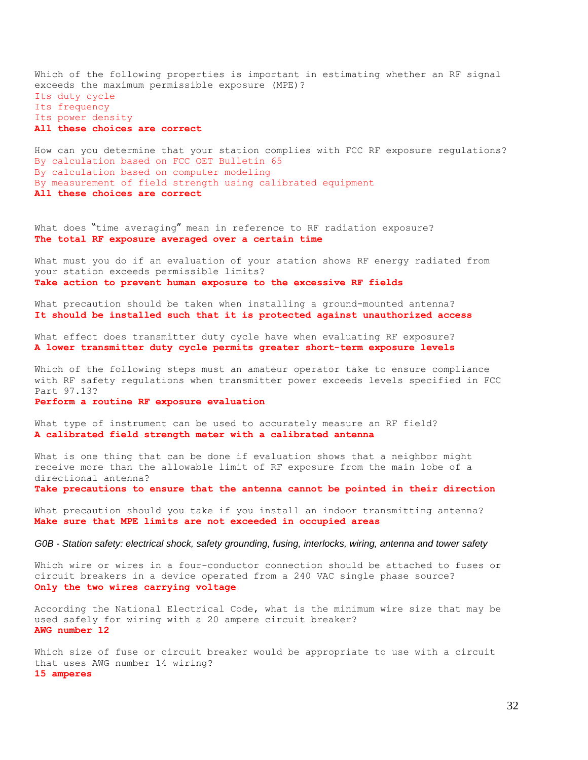Which of the following properties is important in estimating whether an RF signal exceeds the maximum permissible exposure (MPE)? Its duty cycle Its frequency Its power density **All these choices are correct**

How can you determine that your station complies with FCC RF exposure regulations? By calculation based on FCC OET Bulletin 65 By calculation based on computer modeling By measurement of field strength using calibrated equipment **All these choices are correct**

What does "time averaging" mean in reference to RF radiation exposure? **The total RF exposure averaged over a certain time**

What must you do if an evaluation of your station shows RF energy radiated from your station exceeds permissible limits? **Take action to prevent human exposure to the excessive RF fields**

What precaution should be taken when installing a ground-mounted antenna? **It should be installed such that it is protected against unauthorized access**

What effect does transmitter duty cycle have when evaluating RF exposure? **A lower transmitter duty cycle permits greater short-term exposure levels**

Which of the following steps must an amateur operator take to ensure compliance with RF safety regulations when transmitter power exceeds levels specified in FCC Part 97.13?

**Perform a routine RF exposure evaluation**

What type of instrument can be used to accurately measure an RF field? **A calibrated field strength meter with a calibrated antenna**

What is one thing that can be done if evaluation shows that a neighbor might receive more than the allowable limit of RF exposure from the main lobe of a directional antenna? **Take precautions to ensure that the antenna cannot be pointed in their direction**

What precaution should you take if you install an indoor transmitting antenna? **Make sure that MPE limits are not exceeded in occupied areas**

#### *G0B - Station safety: electrical shock, safety grounding, fusing, interlocks, wiring, antenna and tower safety*

Which wire or wires in a four-conductor connection should be attached to fuses or circuit breakers in a device operated from a 240 VAC single phase source? **Only the two wires carrying voltage**

According the National Electrical Code, what is the minimum wire size that may be used safely for wiring with a 20 ampere circuit breaker? **AWG number 12**

Which size of fuse or circuit breaker would be appropriate to use with a circuit that uses AWG number 14 wiring? **15 amperes**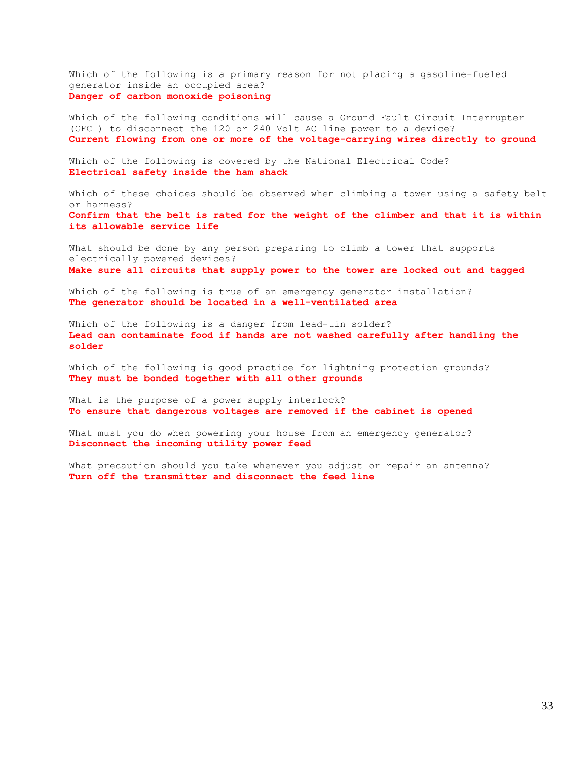Which of the following is a primary reason for not placing a gasoline-fueled generator inside an occupied area? **Danger of carbon monoxide poisoning**

Which of the following conditions will cause a Ground Fault Circuit Interrupter (GFCI) to disconnect the 120 or 240 Volt AC line power to a device? **Current flowing from one or more of the voltage-carrying wires directly to ground**

Which of the following is covered by the National Electrical Code? **Electrical safety inside the ham shack**

Which of these choices should be observed when climbing a tower using a safety belt or harness? **Confirm that the belt is rated for the weight of the climber and that it is within its allowable service life**

What should be done by any person preparing to climb a tower that supports electrically powered devices? **Make sure all circuits that supply power to the tower are locked out and tagged**

Which of the following is true of an emergency generator installation? **The generator should be located in a well-ventilated area**

Which of the following is a danger from lead-tin solder? **Lead can contaminate food if hands are not washed carefully after handling the solder**

Which of the following is good practice for lightning protection grounds? **They must be bonded together with all other grounds**

What is the purpose of a power supply interlock? **To ensure that dangerous voltages are removed if the cabinet is opened**

What must you do when powering your house from an emergency generator? **Disconnect the incoming utility power feed**

What precaution should you take whenever you adjust or repair an antenna? **Turn off the transmitter and disconnect the feed line**